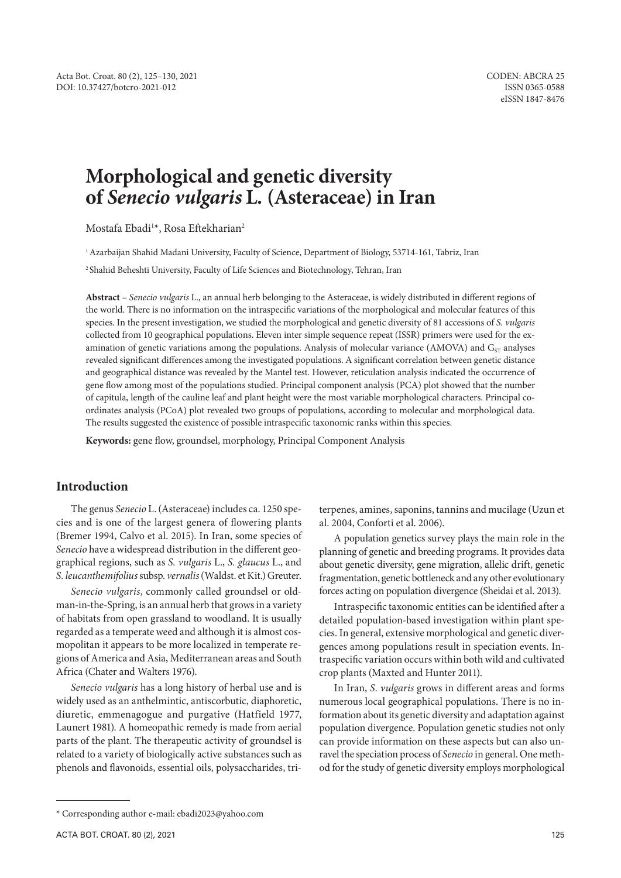# **Morphological and genetic diversity of** *Senecio vulgaris* **L. (Asteraceae) in Iran**

Mostafa Ebadi<sup>1</sup>\*, Rosa Eftekharian<sup>2</sup>

<sup>1</sup> Azarbaijan Shahid Madani University, Faculty of Science, Department of Biology, 53714-161, Tabriz, Iran

2 Shahid Beheshti University, Faculty of Life Sciences and Biotechnology, Tehran, Iran

**Abstract** – *Senecio vulgaris* L., an annual herb belonging to the Asteraceae, is widely distributed in different regions of the world. There is no information on the intraspecific variations of the morphological and molecular features of this species. In the present investigation, we studied the morphological and genetic diversity of 81 accessions of *S. vulgaris* collected from 10 geographical populations. Eleven inter simple sequence repeat (ISSR) primers were used for the examination of genetic variations among the populations. Analysis of molecular variance (AMOVA) and  $G_{ST}$  analyses revealed significant differences among the investigated populations. A significant correlation between genetic distance and geographical distance was revealed by the Mantel test. However, reticulation analysis indicated the occurrence of gene flow among most of the populations studied. Principal component analysis (PCA) plot showed that the number of capitula, length of the cauline leaf and plant height were the most variable morphological characters. Principal coordinates analysis (PCoA) plot revealed two groups of populations, according to molecular and morphological data. The results suggested the existence of possible intraspecific taxonomic ranks within this species.

**Keywords:** gene flow, groundsel, morphology, Principal Component Analysis

# **Introduction**

The genus *Senecio* L. (Asteraceae) includes ca. 1250 species and is one of the largest genera of flowering plants (Bremer 1994, Calvo et al. 2015). In Iran, some species of *Senecio* have a widespread distribution in the different geographical regions, such as *S. vulgaris* L., *S. glaucus* L., and *S. leucanthemifolius* subsp. *vernalis* (Waldst. et Kit.) Greuter.

*Senecio vulgaris*, commonly called groundsel or oldman-in-the-Spring, is an annual herb that grows in a variety of habitats from open grassland to woodland. It is usually regarded as a temperate weed and although it is almost cosmopolitan it appears to be more localized in temperate regions of America and Asia, Mediterranean areas and South Africa (Chater and Walters 1976).

*Senecio vulgaris* has a long history of herbal use and is widely used as an anthelmintic, antiscorbutic, diaphoretic, diuretic, emmenagogue and purgative (Hatfield 1977, Launert 1981). A homeopathic remedy is made from aerial parts of the plant. The therapeutic activity of groundsel is related to a variety of biologically active substances such as phenols and flavonoids, essential oils, polysaccharides, triterpenes, amines, saponins, tannins and mucilage (Uzun et al. 2004, Conforti et al. 2006).

A population genetics survey plays the main role in the planning of genetic and breeding programs. It provides data about genetic diversity, gene migration, allelic drift, genetic fragmentation, genetic bottleneck and any other evolutionary forces acting on population divergence (Sheidai et al. 2013).

Intraspecific taxonomic entities can be identified after a detailed population-based investigation within plant species. In general, extensive morphological and genetic divergences among populations result in speciation events. Intraspecific variation occurs within both wild and cultivated crop plants (Maxted and Hunter 2011).

In Iran, *S. vulgaris* grows in different areas and forms numerous local geographical populations. There is no information about its genetic diversity and adaptation against population divergence. Population genetic studies not only can provide information on these aspects but can also unravel the speciation process of *Senecio* in general. One method for the study of genetic diversity employs morphological

<sup>\*</sup> Corresponding author e-mail: ebadi2023@yahoo.com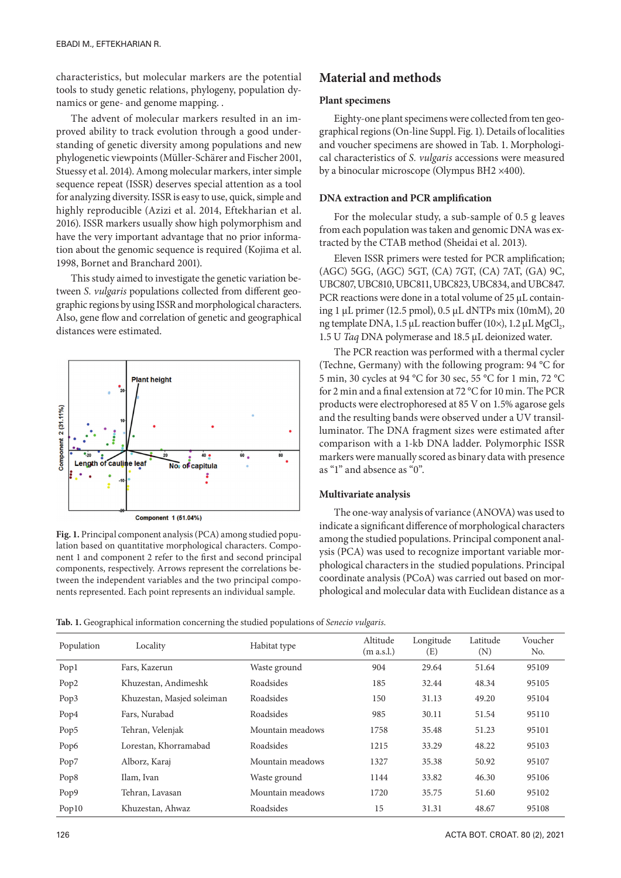characteristics, but molecular markers are the potential tools to study genetic relations, phylogeny, population dynamics or gene- and genome mapping. .

The advent of molecular markers resulted in an improved ability to track evolution through a good understanding of genetic diversity among populations and new phylogenetic viewpoints (Müller-Schärer and Fischer 2001, Stuessy et al. 2014). Among molecular markers, inter simple sequence repeat (ISSR) deserves special attention as a tool for analyzing diversity. ISSR is easy to use, quick, simple and highly reproducible (Azizi et al. 2014, Eftekharian et al. 2016). ISSR markers usually show high polymorphism and have the very important advantage that no prior information about the genomic sequence is required (Kojima et al. 1998, Bornet and Branchard 2001).

This study aimed to investigate the genetic variation between *S. vulgaris* populations collected from different geographic regions by using ISSR and morphological characters. Also, gene flow and correlation of genetic and geographical distances were estimated.



**Fig. 1.** Principal component analysis (PCA) among studied population based on quantitative morphological characters. Component 1 and component 2 refer to the first and second principal components, respectively. Arrows represent the correlations between the independent variables and the two principal components represented. Each point represents an individual sample.

# **Material and methods**

# **Plant specimens**

Eighty-one plant specimens were collected from ten geographical regions (On-line Suppl. Fig. 1). Details of localities and voucher specimens are showed in Tab. 1. Morphological characteristics of *S. vulgaris* accessions were measured by a binocular microscope (Olympus BH2 ×400).

#### **DNA extraction and PCR amplification**

For the molecular study, a sub-sample of 0.5 g leaves from each population was taken and genomic DNA was extracted by the CTAB method (Sheidai et al. 2013).

Eleven ISSR primers were tested for PCR amplification; (AGC) 5GG, (AGC) 5GT, (CA) 7GT, (CA) 7AT, (GA) 9C, UBC807, UBC810, UBC811, UBC823, UBC834, and UBC847. PCR reactions were done in a total volume of 25 μL containing 1 μL primer (12.5 pmol), 0.5 μL dNTPs mix (10mM), 20 ng template DNA, 1.5 μL reaction buffer (10×), 1.2 μL MgCl<sub>2</sub>, 1.5 U *Taq* DNA polymerase and 18.5 μL deionized water.

The PCR reaction was performed with a thermal cycler (Techne, Germany) with the following program: 94 °C for 5 min, 30 cycles at 94 °C for 30 sec, 55 °C for 1 min, 72 °C for 2 min and a final extension at 72 °C for 10 min. The PCR products were electrophoresed at 85 V on 1.5% agarose gels and the resulting bands were observed under a UV transilluminator. The DNA fragment sizes were estimated after comparison with a 1-kb DNA ladder. Polymorphic ISSR markers were manually scored as binary data with presence as "1" and absence as "0".

#### **Multivariate analysis**

The one-way analysis of variance (ANOVA) was used to indicate a significant difference of morphological characters among the studied populations. Principal component analysis (PCA) was used to recognize important variable morphological characters in the studied populations. Principal coordinate analysis (PCoA) was carried out based on morphological and molecular data with Euclidean distance as a

**Tab. 1.** Geographical information concerning the studied populations of *Senecio vulgaris*.

| Population       | Locality                   | Habitat type     | Altitude<br>(m a.s.l.) | Longitude<br>(E) | Latitude<br>(N) | Voucher<br>No. |
|------------------|----------------------------|------------------|------------------------|------------------|-----------------|----------------|
| Pop1             | Fars, Kazerun              | Waste ground     | 904                    | 29.64            | 51.64           | 95109          |
| Pop <sub>2</sub> | Khuzestan, Andimeshk       | Roadsides        | 185                    | 32.44            | 48.34           | 95105          |
| Pop3             | Khuzestan, Masjed soleiman | Roadsides        | 150                    | 31.13            | 49.20           | 95104          |
| Pop4             | Fars, Nurabad              | Roadsides        | 985                    | 30.11            | 51.54           | 95110          |
| Pop <sub>5</sub> | Tehran, Velenjak           | Mountain meadows | 1758                   | 35.48            | 51.23           | 95101          |
| Pop <sub>6</sub> | Lorestan, Khorramabad      | Roadsides        | 1215                   | 33.29            | 48.22           | 95103          |
| Pop7             | Alborz, Karaj              | Mountain meadows | 1327                   | 35.38            | 50.92           | 95107          |
| Pop <sub>8</sub> | Ilam, Ivan                 | Waste ground     | 1144                   | 33.82            | 46.30           | 95106          |
| Pop <sub>9</sub> | Tehran, Lavasan            | Mountain meadows | 1720                   | 35.75            | 51.60           | 95102          |
| Pop10            | Khuzestan, Ahwaz           | Roadsides        | 15                     | 31.31            | 48.67           | 95108          |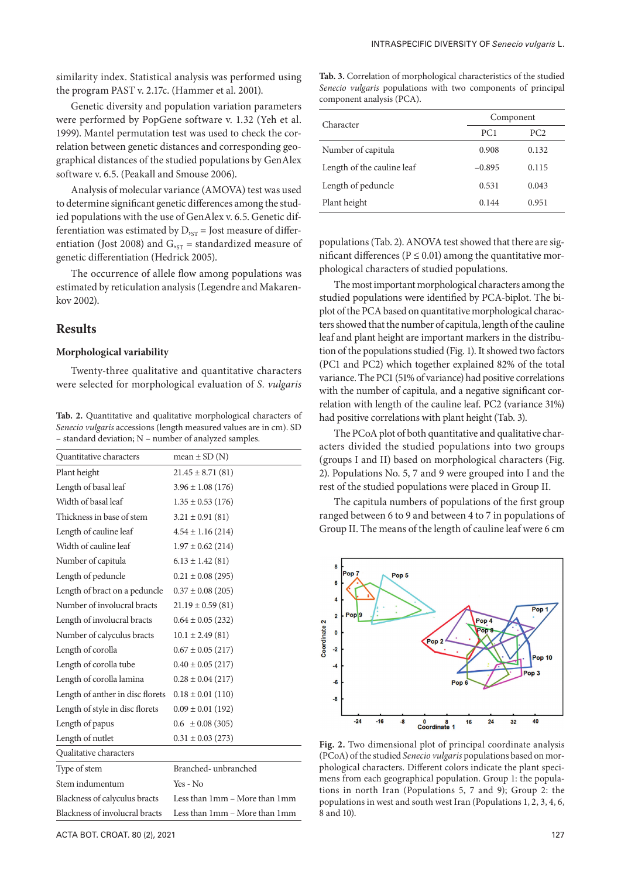similarity index. Statistical analysis was performed using the program PAST v. 2.17c. (Hammer et al. 2001).

Genetic diversity and population variation parameters were performed by PopGene software v. 1.32 (Yeh et al. 1999). Mantel permutation test was used to check the correlation between genetic distances and corresponding geographical distances of the studied populations by GenAlex software v. 6.5. (Peakall and Smouse 2006).

Analysis of molecular variance (AMOVA) test was used to determine significant genetic differences among the studied populations with the use of GenAlex v. 6.5. Genetic differentiation was estimated by  $D_{\text{SST}}$  = Jost measure of differentiation (Jost 2008) and  $G_{\text{ST}}$  = standardized measure of genetic differentiation (Hedrick 2005).

The occurrence of allele flow among populations was estimated by reticulation analysis (Legendre and Makarenkov 2002).

# **Results**

### **Morphological variability**

Twenty-three qualitative and quantitative characters were selected for morphological evaluation of *S. vulgaris*

**Tab. 2.** Quantitative and qualitative morphological characters of *Senecio vulgaris* accessions (length measured values are in cm). SD – standard deviation; N – number of analyzed samples.

| Quantitative characters          | mean $\pm$ SD (N)             |
|----------------------------------|-------------------------------|
| Plant height                     | $21.45 \pm 8.71(81)$          |
| Length of basal leaf             | $3.96 \pm 1.08$ (176)         |
| Width of basal leaf              | $1.35 \pm 0.53$ (176)         |
| Thickness in base of stem        | $3.21 \pm 0.91(81)$           |
| Length of cauline leaf           | $4.54 \pm 1.16(214)$          |
| Width of cauline leaf            | $1.97 \pm 0.62$ (214)         |
| Number of capitula               | $6.13 \pm 1.42$ (81)          |
| Length of peduncle               | $0.21 \pm 0.08$ (295)         |
| Length of bract on a peduncle    | $0.37 \pm 0.08$ (205)         |
| Number of involucral bracts      | $21.19 \pm 0.59(81)$          |
| Length of involucral bracts      | $0.64 \pm 0.05$ (232)         |
| Number of calyculus bracts       | $10.1 \pm 2.49(81)$           |
| Length of corolla                | $0.67 \pm 0.05$ (217)         |
| Length of corolla tube           | $0.40 \pm 0.05$ (217)         |
| Length of corolla lamina         | $0.28 \pm 0.04$ (217)         |
| Length of anther in disc florets | $0.18 \pm 0.01$ (110)         |
| Length of style in disc florets  | $0.09 \pm 0.01$ (192)         |
| Length of papus                  | $0.6 \pm 0.08(305)$           |
| Length of nutlet                 | $0.31 \pm 0.03$ (273)         |
| Qualitative characters           |                               |
| Type of stem                     | Branched-unbranched           |
| Stem indumentum                  | $Yes - No$                    |
| Blackness of calyculus bracts    | Less than 1mm – More than 1mm |
| Blackness of involucral bracts   | Less than 1mm – More than 1mm |
|                                  |                               |

**Tab. 3.** Correlation of morphological characteristics of the studied *Senecio vulgaris* populations with two components of principal component analysis (PCA).

|                            | Component       |                 |  |  |
|----------------------------|-----------------|-----------------|--|--|
| Character                  | PC <sub>1</sub> | PC <sub>2</sub> |  |  |
| Number of capitula         | 0.908           | 0.132           |  |  |
| Length of the cauline leaf | $-0.895$        | 0.115           |  |  |
| Length of peduncle         | 0.531           | 0.043           |  |  |
| Plant height               | 0.144           | 0.951           |  |  |

populations (Tab. 2). ANOVA test showed that there are significant differences ( $P \le 0.01$ ) among the quantitative morphological characters of studied populations.

The most important morphological characters among the studied populations were identified by PCA-biplot. The biplot of the PCA based on quantitative morphological characters showed that the number of capitula, length of the cauline leaf and plant height are important markers in the distribution of the populations studied (Fig. 1). It showed two factors (PC1 and PC2) which together explained 82% of the total variance. The PC1 (51% of variance) had positive correlations with the number of capitula, and a negative significant correlation with length of the cauline leaf. PC2 (variance 31%) had positive correlations with plant height (Tab. 3).

The PCoA plot of both quantitative and qualitative characters divided the studied populations into two groups (groups I and II) based on morphological characters (Fig. 2). Populations No. 5, 7 and 9 were grouped into I and the rest of the studied populations were placed in Group II.

The capitula numbers of populations of the first group ranged between 6 to 9 and between 4 to 7 in populations of Group II. The means of the length of cauline leaf were 6 cm



**Fig. 2.** Two dimensional plot of principal coordinate analysis (PCoA) of the studied *Senecio vulgaris* populations based on morphological characters. Different colors indicate the plant specimens from each geographical population. Group 1: the populations in north Iran (Populations 5, 7 and 9); Group 2: the populations in west and south west Iran (Populations 1, 2, 3, 4, 6, 8 and 10).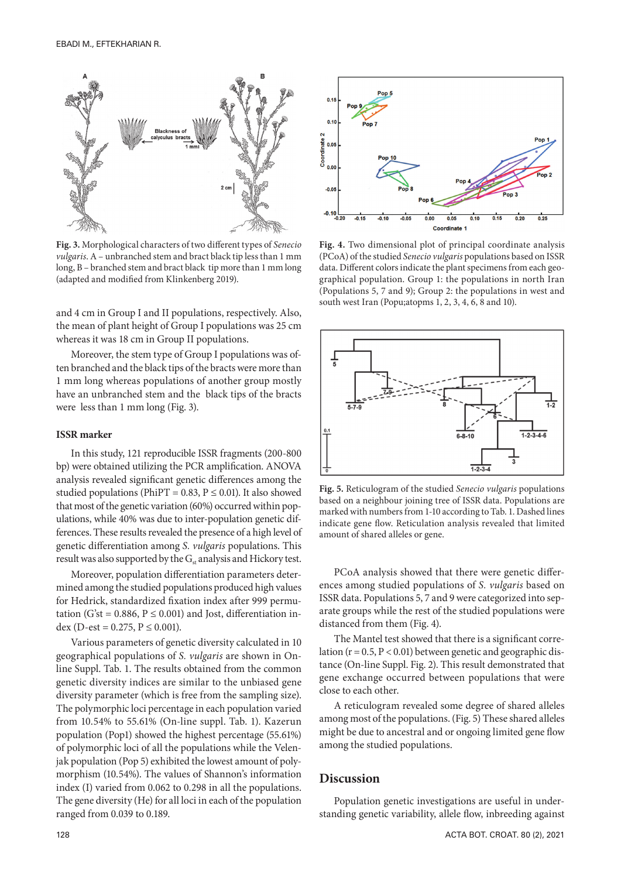

**Fig. 3.** Morphological characters of two different types of *Senecio vulgaris*. A – unbranched stem and bract black tip less than 1 mm long, B – branched stem and bract black tip more than 1 mm long (adapted and modified from Klinkenberg 2019).

and 4 cm in Group I and II populations, respectively. Also, the mean of plant height of Group I populations was 25 cm whereas it was 18 cm in Group II populations.

Moreover, the stem type of Group I populations was often branched and the black tips of the bracts were more than 1 mm long whereas populations of another group mostly have an unbranched stem and the black tips of the bracts were less than 1 mm long (Fig. 3).

#### **ISSR marker**

In this study, 121 reproducible ISSR fragments (200-800 bp) were obtained utilizing the PCR amplification. ANOVA analysis revealed significant genetic differences among the studied populations (PhiPT = 0.83,  $P \le 0.01$ ). It also showed that most of the genetic variation (60%) occurred within populations, while 40% was due to inter-population genetic differences.These results revealed the presence of a high level of genetic differentiation among *S. vulgaris* populations. This result was also supported by the  $G_{st}$  analysis and Hickory test.

Moreover, population differentiation parameters determined among the studied populations produced high values for Hedrick, standardized fixation index after 999 permutation (G'st =  $0.886$ ,  $P \le 0.001$ ) and Jost, differentiation index (D-est =  $0.275$ ,  $P \le 0.001$ ).

Various parameters of genetic diversity calculated in 10 geographical populations of *S. vulgaris* are shown in Online Suppl. Tab. 1. The results obtained from the common genetic diversity indices are similar to the unbiased gene diversity parameter (which is free from the sampling size). The polymorphic loci percentage in each population varied from 10.54% to 55.61% (On-line suppl. Tab. 1). Kazerun population (Pop1) showed the highest percentage (55.61%) of polymorphic loci of all the populations while the Velenjak population (Pop 5) exhibited the lowest amount of polymorphism (10.54%). The values of Shannon's information index (I) varied from 0.062 to 0.298 in all the populations. The gene diversity (He) for all loci in each of the population ranged from 0.039 to 0.189.



**Fig. 4.** Two dimensional plot of principal coordinate analysis (PCoA) of the studied *Senecio vulgaris* populations based on ISSR data. Different colors indicate the plant specimens from each geographical population. Group 1: the populations in north Iran (Populations 5, 7 and 9); Group 2: the populations in west and south west Iran (Popu;atopms 1, 2, 3, 4, 6, 8 and 10).



**Fig. 5.** Reticulogram of the studied *Senecio vulgaris* populations based on a neighbour joining tree of ISSR data. Populations are marked with numbers from 1-10 according to Tab. 1. Dashed lines indicate gene flow. Reticulation analysis revealed that limited amount of shared alleles or gene.

PCoA analysis showed that there were genetic differences among studied populations of *S. vulgaris* based on ISSR data. Populations 5, 7 and 9 were categorized into separate groups while the rest of the studied populations were distanced from them (Fig. 4).

The Mantel test showed that there is a significant correlation ( $r = 0.5$ ,  $P < 0.01$ ) between genetic and geographic distance (On-line Suppl. Fig. 2). This result demonstrated that gene exchange occurred between populations that were close to each other.

A reticulogram revealed some degree of shared alleles among most of the populations. (Fig. 5) These shared alleles might be due to ancestral and or ongoing limited gene flow among the studied populations.

### **Discussion**

Population genetic investigations are useful in understanding genetic variability, allele flow, inbreeding against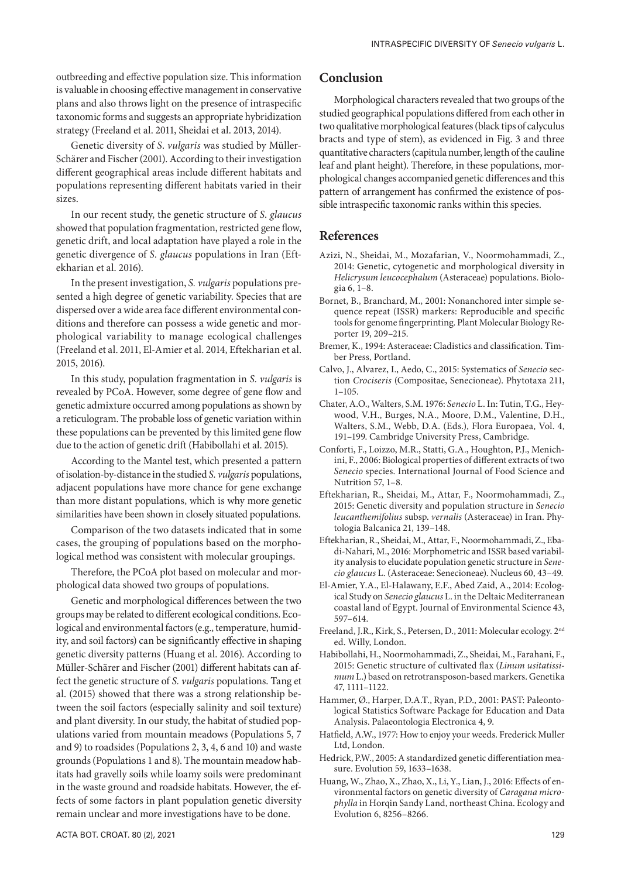outbreeding and effective population size. This information is valuable in choosing effective management in conservative plans and also throws light on the presence of intraspecific taxonomic forms and suggests an appropriate hybridization strategy (Freeland et al. 2011, Sheidai et al. 2013, 2014).

Genetic diversity of *S*. *vulgaris* was studied by Müller-Schärer and Fischer (2001). According to their investigation different geographical areas include different habitats and populations representing different habitats varied in their sizes.

In our recent study, the genetic structure of *S*. *glaucus* showed that population fragmentation, restricted gene flow, genetic drift, and local adaptation have played a role in the genetic divergence of *S. glaucus* populations in Iran (Eftekharian et al. 2016).

In the present investigation, *S. vulgaris* populations presented a high degree of genetic variability. Species that are dispersed over a wide area face different environmental conditions and therefore can possess a wide genetic and morphological variability to manage ecological challenges (Freeland et al. 2011, El-Amier et al. 2014, Eftekharian et al. 2015, 2016).

In this study, population fragmentation in *S. vulgaris* is revealed by PCoA. However, some degree of gene flow and genetic admixture occurred among populations as shown by a reticulogram. The probable loss of genetic variation within these populations can be prevented by this limited gene flow due to the action of genetic drift (Habibollahi et al. 2015).

According to the Mantel test, which presented a pattern of isolation-by-distance in the studied *S. vulgaris* populations, adjacent populations have more chance for gene exchange than more distant populations, which is why more genetic similarities have been shown in closely situated populations.

Comparison of the two datasets indicated that in some cases, the grouping of populations based on the morphological method was consistent with molecular groupings.

Therefore, the PCoA plot based on molecular and morphological data showed two groups of populations.

Genetic and morphological differences between the two groups may be related to different ecological conditions. Ecological and environmental factors (e.g., temperature, humidity, and soil factors) can be significantly effective in shaping genetic diversity patterns (Huang et al. 2016). According to Müller-Schärer and Fischer (2001) different habitats can affect the genetic structure of *S. vulgaris* populations. Tang et al. (2015) showed that there was a strong relationship between the soil factors (especially salinity and soil texture) and plant diversity. In our study, the habitat of studied populations varied from mountain meadows (Populations 5, 7 and 9) to roadsides (Populations 2, 3, 4, 6 and 10) and waste grounds (Populations 1 and 8). The mountain meadow habitats had gravelly soils while loamy soils were predominant in the waste ground and roadside habitats. However, the effects of some factors in plant population genetic diversity remain unclear and more investigations have to be done.

# **Conclusion**

Morphological characters revealed that two groups of the studied geographical populations differed from each other in two qualitative morphological features (black tips of calyculus bracts and type of stem), as evidenced in Fig. 3 and three quantitative characters (capitula number, length of the cauline leaf and plant height). Therefore, in these populations, morphological changes accompanied genetic differences and this pattern of arrangement has confirmed the existence of possible intraspecific taxonomic ranks within this species.

#### **References**

- Azizi, N., Sheidai, M., Mozafarian, V., Noormohammadi, Z., 2014: Genetic, cytogenetic and morphological diversity in *Helicrysum leucocephalum* (Asteraceae) populations. Biologia 6, 1–8.
- Bornet, B., Branchard, M., 2001: Nonanchored inter simple sequence repeat (ISSR) markers: Reproducible and specific tools for genome fingerprinting. Plant Molecular Biology Reporter 19, 209–215.
- Bremer, K., 1994: Asteraceae: Cladistics and classification. Timber Press, Portland.
- Calvo, J., Alvarez, I., Aedo, C., 2015: Systematics of *Senecio* section *Crociseris* (Compositae, Senecioneae). Phytotaxa 211, 1–105.
- Chater, A.O., Walters, S.M. 1976: *Senecio* L. In: Tutin, T.G., Heywood, V.H., Burges, N.A., Moore, D.M., Valentine, D.H., Walters, S.M., Webb, D.A. (Eds.), Flora Europaea, Vol. 4, 191–199. Cambridge University Press, Cambridge.
- Conforti, F., Loizzo, M.R., Statti, G.A., Houghton, P.J., Menichini, F., 2006: Biological properties of different extracts of two *Senecio* species. International Journal of Food Science and Nutrition 57, 1–8.
- Eftekharian, R., Sheidai, M., Attar, F., Noormohammadi, Z., 2015: Genetic diversity and population structure in *Senecio leucanthemifolius* subsp. *vernalis* (Asteraceae) in Iran. Phytologia Balcanica 21, 139–148.
- Eftekharian, R., Sheidai, M., Attar, F., Noormohammadi, Z., Ebadi-Nahari, M., 2016: Morphometric and ISSR based variability analysis to elucidate population genetic structure in *Senecio glaucus* L. (Asteraceae: Senecioneae). Nucleus 60, 43–49.
- El-Amier, Y.A., El-Halawany, E.F., Abed Zaid, A., 2014: Ecological Study on *Senecio glaucus* L. in the Deltaic Mediterranean coastal land of Egypt. Journal of Environmental Science 43, 597–614.
- Freeland, J.R., Kirk, S., Petersen, D., 2011: Molecular ecology. 2nd ed. Willy, London.
- Habibollahi, H., Noormohammadi, Z., Sheidai, M., Farahani, F., 2015: Genetic structure of cultivated flax (*Linum usitatissimum* L.) based on retrotransposon-based markers. Genetika 47, 1111–1122.
- Hammer, Ø., Harper, D.A.T., Ryan, P.D., 2001: PAST: Paleontological Statistics Software Package for Education and Data Analysis. Palaeontologia Electronica 4, 9.
- Hatfield, A.W., 1977: How to enjoy your weeds. Frederick Muller Ltd, London.
- Hedrick, P.W., 2005: A standardized genetic differentiation measure. Evolution 59, 1633–1638.
- Huang, W., Zhao, X., Zhao, X., Li, Y., Lian, J., 2016: Effects of environmental factors on genetic diversity of *Caragana microphylla* in Horqin Sandy Land, northeast China. Ecology and Evolution 6, 8256–8266.